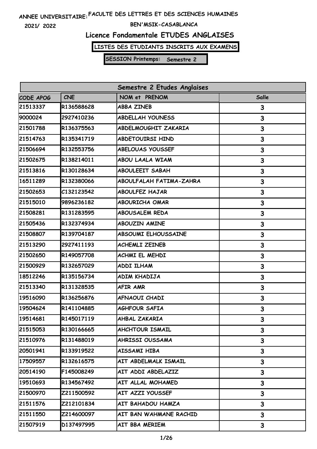**2021/ 2022**

### **BEN'MSIK-CASABLANCA**

# **Licence Fondamentale ETUDES ANGLAISES**

**LISTES DES ETUDIANTS INSCRITS AUX EXAMENS**

| Semestre 2 Etudes Anglaises |            |                                |       |
|-----------------------------|------------|--------------------------------|-------|
| CODE APOG                   | <b>CNE</b> | NOM et PRENOM                  | Salle |
| 21513337                    | R136588628 | <b>ABBA ZINEB</b>              | 3     |
| 9000024                     | 2927410236 | <b>ABDELLAH YOUNESS</b>        | 3     |
| 21501788                    | R136375563 | ABDELMOUGHIT ZAKARIA           | 3     |
| 21514763                    | R135341719 | <b>ABDETOUIRSI HIND</b>        | 3     |
| 21506694                    | R132553756 | <b>ABELOUAS YOUSSEF</b>        | 3     |
| 21502675                    | R138214011 | ABOU LAALA WIAM                | 3     |
| 21513816                    | R130128634 | <b>ABOULEEIT SABAH</b>         | 3     |
| 16511289                    | R132380066 | <b>ABOULFALAH FATIMA-ZAHRA</b> | 3     |
| 21502653                    | C132123542 | <b>ABOULFEZ HAJAR</b>          | 3     |
| 21515010                    | 9896236182 | <b>ABOURICHA OMAR</b>          | 3     |
| 21508281                    | R131283595 | <b>ABOUSALEM REDA</b>          | 3     |
| 21505436                    | R132374934 | <b>ABOUZIN AMINE</b>           | 3     |
| 21508807                    | R139704187 | ABSOUMI ELHOUSSAINE            | 3     |
| 21513290                    | 2927411193 | <b>ACHEMLI ZEINEB</b>          | 3     |
| 21502650                    | R149057708 | ACHMI EL MEHDI                 | 3     |
| 21500929                    | R132657029 | <b>ADDI ILHAM</b>              | 3     |
| 18512246                    | R135156734 | ADIM KHADIJA                   | 3     |
| 21513340                    | R131328535 | <b>AFIR AMR</b>                | 3     |
| 19516090                    | R136256876 | AFNAOUI CHADI                  | 3     |
| 19504624                    | R141104885 | <b>AGHFOUR SAFIA</b>           | 3     |
| 19514681                    | R145017119 | AHBAL ZAKARIA                  | 3     |
| 21515053                    | R130166665 | <b>AHCHTOUR ISMAIL</b>         | 3     |
| 21510976                    | R131488019 | AHRISSI OUSSAMA                | 3     |
| 20501941                    | R133919522 | AISSAMI HIBA                   | 3     |
| 17509557                    | R132616575 | AIT ABDELMALK ISMAIL           | 3     |
| 20514190                    | F145008249 | AIT ADDI ABDELAZIZ             | 3     |
| 19510693                    | R134567492 | AIT ALLAL MOHAMED              | 3     |
| 21500970                    | Z211500592 | AIT AZZI YOUSSEF               | 3     |
| 21511576                    | Z212101834 | AIT BAHADOU HAMZA              | 3     |
| 21511550                    | Z214600097 | AIT BAN WAHMANE RACHID         | 3     |
| 21507919                    | D137497995 | AIT BBA MERIEM                 | 3     |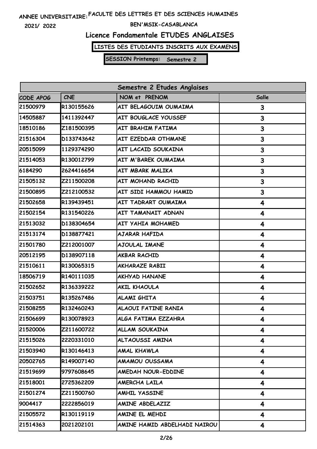**2021/ 2022**

### **BEN'MSIK-CASABLANCA**

# **Licence Fondamentale ETUDES ANGLAISES**

**LISTES DES ETUDIANTS INSCRITS AUX EXAMENS**

| Semestre 2 Etudes Anglaises |            |                              |       |
|-----------------------------|------------|------------------------------|-------|
| CODE APOG                   | <b>CNE</b> | NOM et PRENOM                | Salle |
| 21500979                    | R130155626 | AIT BELAGOUIM OUMAIMA        | 3     |
| 14505887                    | 1411392447 | AIT BOUGLACE YOUSSEF         | 3     |
| 18510186                    | Z181500395 | AIT BRAHIM FATIMA            | 3     |
| 21516304                    | D133743642 | AIT EZEDDAR OTHMANE          | 3     |
| 20515099                    | 1129374290 | AIT LACAID SOUKAINA          | 3     |
| 21514053                    | R130012799 | AIT M'BAREK OUMAIMA          | 3     |
| 6184290                     | 2624416654 | AIT MBARK MALIKA             | 3     |
| 21505132                    | Z211500208 | AIT MOHAND RACHID            | 3     |
| 21500895                    | Z212100532 | AIT SIDI HAMMOU HAMID        | 3     |
| 21502658                    | R139439451 | AIT TADRART OUMAIMA          | 4     |
| 21502154                    | R131540226 | AIT TAMANAIT ADNAN           | 4     |
| 21513032                    | D138304654 | AIT YAHIA MOHAMED            | 4     |
| 21513174                    | D138877421 | <b>AJARAR HAFIDA</b>         | 4     |
| 21501780                    | Z212001007 | <b>AJOULAL IMANE</b>         | 4     |
| 20512195                    | D138907118 | <b>AKBAR RACHID</b>          | 4     |
| 21510611                    | R130065315 | <b>AKHARAZE RABII</b>        | 4     |
| 18506719                    | R140111035 | <b>AKHYAD HANANE</b>         | 4     |
| 21502652                    | R136339222 | <b>AKIL KHAOULA</b>          | 4     |
| 21503751                    | R135267486 | <b>ALAMI GHITA</b>           | 4     |
| 21508255                    | R132460243 | <b>ALAOUI FATINE RANIA</b>   | 4     |
| 21506699                    | R130078923 | ALGA FATIMA EZZAHRA          | 4     |
| 21520006                    | Z211600722 | <b>ALLAM SOUKAINA</b>        | 4     |
| 21515026                    | 2220331010 | ALTAOUSSI AMINA              | 4     |
| 21503940                    | R130146413 | AMAL KHAWLA                  | 4     |
| 20502765                    | R149007140 | <b>AMAMOU OUSSAMA</b>        | 4     |
| 21519699                    | 9797608645 | AMEDAH NOUR-EDDINE           | 4     |
| 21518001                    | 2725362209 | AMERCHA LAILA                | 4     |
| 21501274                    | Z211500760 | <b>AMHIL YASSINE</b>         | 4     |
| 9004417                     | 2222856019 | AMINE ABDELAZIZ              | 4     |
| 21505572                    | R130119119 | AMINE EL MEHDI               | 4     |
| 21514363                    | 2021202101 | AMINE HAMID ABDELHADI NAIROU | 4     |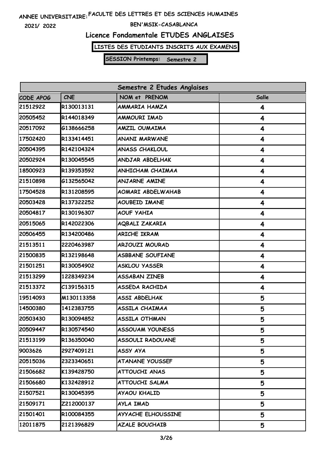**2021/ 2022**

### **BEN'MSIK-CASABLANCA**

# **Licence Fondamentale ETUDES ANGLAISES**

**LISTES DES ETUDIANTS INSCRITS AUX EXAMENS**

| Semestre 2 Etudes Anglaises |            |                         |       |
|-----------------------------|------------|-------------------------|-------|
| CODE APOG                   | <b>CNE</b> | NOM et PRENOM           | Salle |
| 21512922                    | R130013131 | AMMARIA HAMZA           | 4     |
| 20505452                    | R144018349 | AMMOURI IMAD            | 4     |
| 20517092                    | G138666258 | AMZIL OUMAIMA           | 4     |
| 17502420                    | R133414451 | <b>ANANI MARWANE</b>    | 4     |
| 20504395                    | R142104324 | <b>ANASS CHAKLOUL</b>   | 4     |
| 20502924                    | R130045545 | ANDJAR ABDELHAK         | 4     |
| 18500923                    | R139353592 | ANHICHAM CHAIMAA        | 4     |
| 21510898                    | G132565042 | <b>ANJARNE AMINE</b>    | 4     |
| 17504528                    | R131208595 | AOMARI ABDELWAHAB       | 4     |
| 20503428                    | R137322252 | <b>AOUBEID IMANE</b>    | 4     |
| 20504817                    | R130196307 | <b>AOUF YAHIA</b>       | 4     |
| 20515065                    | R142022306 | <b>AQBALI ZAKARIA</b>   | 4     |
| 20506455                    | R134200486 | <b>ARICHE IKRAM</b>     | 4     |
| 21513511                    | 2220463987 | ARJOUZI MOURAD          | 4     |
| 21500835                    | R132198648 | <b>ASBBANE SOUFIANE</b> | 4     |
| 21501251                    | R130054902 | <b>ASKLOU YASSER</b>    | 4     |
| 21513299                    | 1228349234 | <b>ASSABAN ZINEB</b>    | 4     |
| 21513372                    | C139156315 | <b>ASSEDA RACHIDA</b>   | 4     |
| 19514093                    | M130113358 | <b>ASSI ABDELHAK</b>    | 5     |
| 14500380                    | 1412383755 | ASSILA CHAIMAA          | 5     |
| 20503430                    | R130094852 | ASSILA OTHMAN           | 5     |
| 20509447                    | R130574540 | <b>ASSOUAM YOUNESS</b>  | 5     |
| 21513199                    | R136350040 | ASSOULI RADOUANE        | 5     |
| 9003626                     | 2927409121 | ASSY AYA                | 5     |
| 20515036                    | 2323340651 | <b>ATANANE YOUSSEF</b>  | 5     |
| 21506682                    | K139428750 | <b>ATTOUCHI ANAS</b>    | 5     |
| 21506680                    | K132428912 | ATTOUCHI SALMA          | 5     |
| 21507521                    | R130045395 | AYAOU KHALID            | 5     |
| 21509171                    | Z212000137 | AYLA IMAD               | 5     |
| 21501401                    | R100084355 | AYYACHE ELHOUSSINE      | 5     |
| 12011875                    | 2121396829 | <b>AZALE BOUCHAIB</b>   | 5     |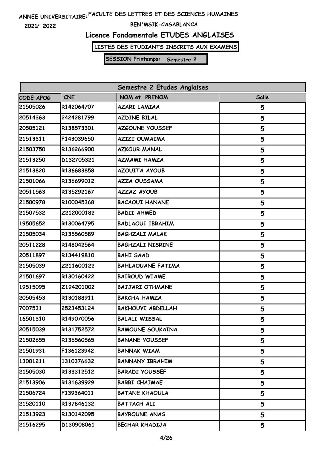**2021/ 2022**

### **BEN'MSIK-CASABLANCA**

# **Licence Fondamentale ETUDES ANGLAISES**

**LISTES DES ETUDIANTS INSCRITS AUX EXAMENS**

| Semestre 2 Etudes Anglaises |            |                          |       |
|-----------------------------|------------|--------------------------|-------|
| CODE APOG                   | <b>CNE</b> | NOM et PRENOM            | Salle |
| 21505026                    | R142064707 | <b>AZARI LAMIAA</b>      | 5     |
| 20514363                    | 2424281799 | <b>AZDINE BILAL</b>      | 5     |
| 20505121                    | R138573301 | AZGOUNE YOUSSEF          | 5     |
| 21513311                    | F143039650 | <b>AZIZI OUMAIMA</b>     | 5     |
| 21503750                    | R136266900 | <b>AZKOUR MANAL</b>      | 5     |
| 21513250                    | D132705321 | <b>AZMAMI HAMZA</b>      | 5     |
| 21513820                    | R136683858 | <b>AZOUITA AYOUB</b>     | 5     |
| 21501066                    | R136699012 | <b>AZZA OUSSAMA</b>      | 5     |
| 20511563                    | R135292167 | <b>AZZAZ AYOUB</b>       | 5     |
| 21500978                    | R100045368 | <b>BACAOUI HANANE</b>    | 5     |
| 21507532                    | Z212000182 | <b>BADII AHMED</b>       | 5     |
| 19505652                    | R130064795 | <b>BADLAOUI IBRAHIM</b>  | 5     |
| 21505034                    | R135560589 | <b>BAGHZALI MALAK</b>    | 5     |
| 20511228                    | R148042564 | <b>BAGHZALI NISRINE</b>  | 5     |
| 20511897                    | R134419810 | <b>BAHI SAAD</b>         | 5     |
| 21505039                    | Z211600122 | <b>BAHLAOUANE FATIMA</b> | 5     |
| 21501697                    | R130160422 | <b>BAIROUD WIAME</b>     | 5     |
| 19515095                    | Z194201002 | <b>BAJJARI OTHMANE</b>   | 5     |
| 20505453                    | R130188911 | <b>BAKCHA HAMZA</b>      | 5     |
| 7007531                     | 2523453124 | <b>BAKHOUYI ABDELLAH</b> | 5     |
| 16501310                    | R149070056 | <b>BALALI WISSAL</b>     | Б,    |
| 20515039                    | R131752572 | <b>BAMOUNE SOUKAINA</b>  | 5     |
| 21502655                    | R136560565 | <b>BANANE YOUSSEF</b>    | 5     |
| 21501931                    | F136123942 | <b>BANNAK WIAM</b>       | 5     |
| 13001211                    | 1310376632 | <b>BANNANY IBRAHIM</b>   | 5     |
| 21505030                    | R133312512 | <b>BARADI YOUSSEF</b>    | 5     |
| 21513906                    | R131639929 | <b>BARRI CHAIMAE</b>     | 5     |
| 21506724                    | F139364011 | <b>BATANE KHAOULA</b>    | 5     |
| 21520110                    | R137846132 | BATTACH ALI              | 5     |
| 21513923                    | R130142095 | <b>BAYROUNE ANAS</b>     | 5     |
| 21516295                    | D130908061 | BECHAR KHADIJA           | 5     |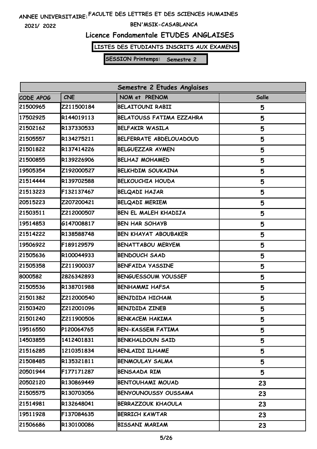**2021/ 2022**

### **BEN'MSIK-CASABLANCA**

# **Licence Fondamentale ETUDES ANGLAISES**

**LISTES DES ETUDIANTS INSCRITS AUX EXAMENS**

| Semestre 2 Etudes Anglaises |            |                                 |              |
|-----------------------------|------------|---------------------------------|--------------|
| CODE APOG                   | <b>CNE</b> | NOM et PRENOM                   | <b>Salle</b> |
| 21500965                    | Z211500184 | <b>BELAITOUNI RABII</b>         | 5            |
| 17502925                    | R144019113 | <b>BELATOUSS FATIMA EZZAHRA</b> | 5            |
| 21502162                    | R137330533 | <b>BELFAKIR WASILA</b>          | 5            |
| 21505557                    | R134275211 | BELFERRATE ABDELOUADOUD         | 5            |
| 21501822                    | R137414226 | BELGUEZZAR AYMEN                | 5            |
| 21500855                    | R139226906 | <b>BELHAJ MOHAMED</b>           | 5            |
| 19505354                    | Z192000527 | <b>BELKHDIM SOUKAINA</b>        | 5            |
| 21514444                    | R139702588 | <b>BELKOUCHIA HOUDA</b>         | 5            |
| 21513223                    | F132137467 | <b>BELQADI HAJAR</b>            | 5            |
| 20515223                    | Z207200421 | <b>BELQADI MERIEM</b>           | 5            |
| 21503511                    | Z212000507 | BEN EL MALEH KHADIJA            | 5            |
| 19514853                    | G147008817 | <b>BEN HAR SOHAYB</b>           | 5            |
| 21514222                    | R138588748 | <b>BEN KHAYAT ABOUBAKER</b>     | 5            |
| 19506922                    | F189129579 | <b>BENATTABOU MERYEM</b>        | 5            |
| 21505636                    | R100044933 | <b>BENDOUCH SAAD</b>            | 5            |
| 21505358                    | Z211900037 | <b>BENFAIDA YASSINE</b>         | 5            |
| 8000582                     | 2826342893 | <b>BENGUESSOUM YOUSSEF</b>      | 5            |
| 21505536                    | R138701988 | <b>BENHAMMI HAFSA</b>           | 5            |
| 21501382                    | Z212000540 | <b>BENJDIDA HICHAM</b>          | 5            |
| 21503420                    | Z212001096 | <b>BENJDIDA ZINEB</b>           | 5            |
| 21501240                    | Z211900506 | <b>BENKACEM HAKIMA</b>          | 5            |
| 19516550                    | P120064765 | BEN-KASSEM FATIMA               | 5            |
| 14503855                    | 1412401831 | <b>BENKHALDOUN SAID</b>         | 5            |
| 21516285                    | 1210351834 | <b>BENLAIDI ILHAME</b>          | 5            |
| 21508485                    | R135321811 | <b>BENMOULAY SALMA</b>          | 5            |
| 20501944                    | F177171287 | <b>BENSAADA RIM</b>             | 5            |
| 20502120                    | R130869449 | <b>BENTOUHAMI MOUAD</b>         | 23           |
| 21505575                    | R130703056 | <b>BENYOUNOUSSY OUSSAMA</b>     | 23           |
| 21514981                    | R132648041 | <b>BERRAZZOUK KHAOULA</b>       | 23           |
| 19511928                    | F137084635 | <b>BERRICH KAWTAR</b>           | 23           |
| 21506686                    | R130100086 | <b>BISSANI MARIAM</b>           | 23           |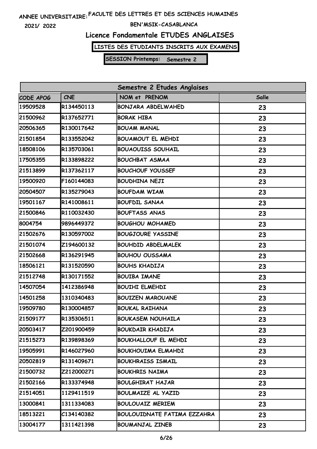**2021/ 2022**

### **BEN'MSIK-CASABLANCA**

# **Licence Fondamentale ETUDES ANGLAISES**

**LISTES DES ETUDIANTS INSCRITS AUX EXAMENS**

| Semestre 2 Etudes Anglaises |            |                                    |       |
|-----------------------------|------------|------------------------------------|-------|
| CODE APOG                   | <b>CNE</b> | NOM et PRENOM                      | Salle |
| 19509528                    | R134450113 | BONJARA ABDELWAHED                 | 23    |
| 21500962                    | R137652771 | <b>BORAK HIBA</b>                  | 23    |
| 20506365                    | R130017642 | <b>BOUAM MANAL</b>                 | 23    |
| 21501854                    | R133552042 | <b>BOUAMOUT EL MEHDI</b>           | 23    |
| 18508106                    | R135703061 | <b>BOUAOUISS SOUHAIL</b>           | 23    |
| 17505355                    | R133898222 | <b>BOUCHBAT ASMAA</b>              | 23    |
| 21513899                    | R137362117 | <b>BOUCHOUF YOUSSEF</b>            | 23    |
| 19500920                    | F160144083 | <b>BOUDHINA NEJI</b>               | 23    |
| 20504507                    | R135279043 | <b>BOUFDAM WIAM</b>                | 23    |
| 19501167                    | R141008611 | <b>BOUFDIL SANAA</b>               | 23    |
| 21500846                    | R110032430 | <b>BOUFTASS ANAS</b>               | 23    |
| 8004754                     | 9896449372 | <b>BOUGHOU MOHAMED</b>             | 23    |
| 21502676                    | R130597002 | <b>BOUGJOURE YASSINE</b>           | 23    |
| 21501074                    | Z194600132 | <b>BOUHDID ABDELMALEK</b>          | 23    |
| 21502668                    | R136291945 | <b>BOUHOU OUSSAMA</b>              | 23    |
| 18506121                    | R131520590 | <b>BOUHS KHADIJA</b>               | 23    |
| 21512748                    | R130171552 | <b>BOUIBA IMANE</b>                | 23    |
| 14507054                    | 1412386948 | <b>BOUIHI ELMEHDI</b>              | 23    |
| 14501258                    | 1310340483 | <b>BOUIZEN MAROUANE</b>            | 23    |
| 19509780                    | R130004857 | <b>BOUKAL RAIHANA</b>              | 23    |
| 21509177                    | R135306511 | <b>BOUKASEM NOUHAILA</b>           | 23    |
| 20503417                    | Z201900459 | <b>BOUKDAIR KHADIJA</b>            | 23    |
| 21515273                    | R139898369 | <b>BOUKHALLOUF EL MEHDI</b>        | 23    |
| 19505991                    | R146027960 | BOUKHOUIMA ELMAHDI                 | 23    |
| 20502819                    | R131409671 | <b>BOUKHRAISS ISMAIL</b>           | 23    |
| 21500732                    | Z212000271 | <b>BOUKHRIS NAIMA</b>              | 23    |
| 21502166                    | R133374948 | BOULGHIRAT HAJAR                   | 23    |
| 21514051                    | 1129411519 | BOULMAIZE AL YAZID                 | 23    |
| 13000841                    | 1311334083 | <b>BOULOUAIZ MERIEM</b>            | 23    |
| 18513221                    | C134140382 | <b>BOULOUIDNATE FATIMA EZZAHRA</b> | 23    |
| 13004177                    | 1311421398 | <b>BOUMANJAL ZINEB</b>             | 23    |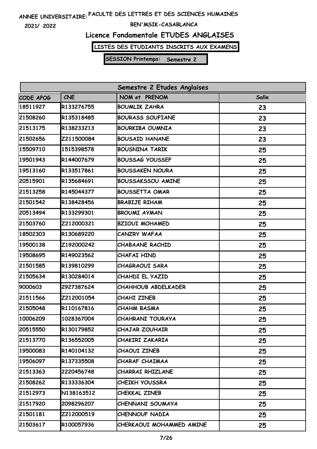**2021/ 2022**

### **BEN'MSIK-CASABLANCA**

# **Licence Fondamentale ETUDES ANGLAISES**

**LISTES DES ETUDIANTS INSCRITS AUX EXAMENS**

| Semestre 2 Etudes Anglaises |            |                          |       |
|-----------------------------|------------|--------------------------|-------|
| CODE APOG                   | <b>CNE</b> | NOM et PRENOM            | Salle |
| 18511927                    | R133276755 | <b>BOUMLIK ZAHRA</b>     | 23    |
| 21508260                    | R135318485 | <b>BOURASS SOUFIANE</b>  | 23    |
| 21513175                    | R138233213 | <b>BOURKIBA OUMNIA</b>   | 23    |
| 21502656                    | Z211500084 | <b>BOUSAID HANANE</b>    | 23    |
| 15509710                    | 1515398578 | <b>BOUSNINA TARIK</b>    | 25    |
| 19501943                    | R144007679 | <b>BOUSSAG YOUSSEF</b>   | 25    |
| 19513160                    | R133517861 | <b>BOUSSAKEN NOURA</b>   | 25    |
| 20515901                    | R135684691 | <b>BOUSSAKSSOU AMINE</b> | 25    |
| 21513258                    | R145044377 | <b>BOUSSETTA OMAR</b>    | 25    |
| 21501542                    | R138428456 | <b>BRABIJE RIHAM</b>     | 25    |
| 20513494                    | R133299301 | <b>BROUMI AYMAN</b>      | 25    |
| 21503760                    | Z212000321 | <b>BZIOUI MOHAMED</b>    | 25    |
| 18502303                    | R130689220 | <b>CANZRY WAFAA</b>      | 25    |
| 19500138                    | Z192000242 | <b>CHABAANE RACHID</b>   | 25    |
| 19508695                    | R149023562 | CHAFAI HIND              | 25    |
| 21501585                    | R139810299 | <b>CHAGRAOUI SARA</b>    | 25    |
| 21505634                    | R130284014 | CHAHDI EL YAZID          | 25    |
| 9000603                     | 2927387624 | CHAHHOUB ABDELKADER      | 25    |
| 21511566                    | Z212001054 | <b>CHAHI ZINEB</b>       | 25    |
| 21505048                    | R110167816 | CHAHM BASMA              | 25    |
| 10006209                    | 1028367004 | CHAHRANI TOURAYA         | 25    |
| 20515550                    | R130179852 | <b>CHAJAR ZOUHAIR</b>    | 25    |
| 21513770                    | R136552005 | CHAKIRI ZAKARIA          | 25    |
| 19500083                    | R140104132 | <b>CHAOUI ZINEB</b>      | 25    |
| 19506097                    | R137335508 | CHARAF CHAIMAA           | 25    |
| 21513363                    | 2220456748 | CHARRAI RHIZLANE         | 25    |
| 21508262                    | R133336304 | <b>CHEIKH YOUSSRA</b>    | 25    |
| 21512973                    | N138163512 | <b>CHEKKAL ZINEB</b>     | 25    |
| 21517920                    | 2098296207 | CHENNANI SOUMAYA         | 25    |
| 21501181                    | Z212000519 | <b>CHENNOUF NADIA</b>    | 25    |
| 21503617                    | R100057936 | CHERKAOUI MOHAMMED AMINE | 25    |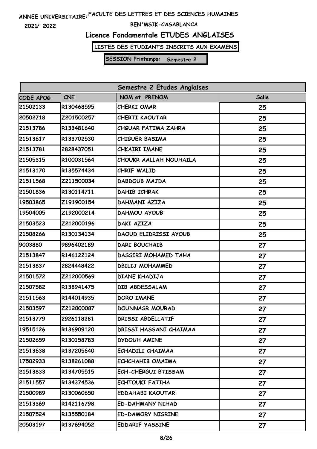**2021/ 2022**

### **BEN'MSIK-CASABLANCA**

# **Licence Fondamentale ETUDES ANGLAISES**

**LISTES DES ETUDIANTS INSCRITS AUX EXAMENS**

| Semestre 2 Etudes Anglaises |            |                              |       |
|-----------------------------|------------|------------------------------|-------|
| CODE APOG                   | <b>CNE</b> | NOM et PRENOM                | Salle |
| 21502133                    | R130468595 | CHERKI OMAR                  | 25    |
| 20502718                    | Z201500257 | <b>CHERTI KAOUTAR</b>        | 25    |
| 21513786                    | R133481640 | CHGUAR FATIMA ZAHRA          | 25    |
| 21513617                    | R133702530 | <b>CHIGUER BASIMA</b>        | 25    |
| 21513781                    | 2828437051 | CHKAIRI IMANE                | 25    |
| 21505315                    | R100031564 | CHOUKR AALLAH NOUHAILA       | 25    |
| 21513170                    | R135574434 | CHRIF WALID                  | 25    |
| 21511568                    | Z211500034 | DABDOUB MAJDA                | 25    |
| 21501836                    | R130114711 | <b>DAHIB ICHRAK</b>          | 25    |
| 19503865                    | Z191900154 | DAHMANI AZIZA                | 25    |
| 19504005                    | Z192000214 | <b>DAHMOU AYOUB</b>          | 25    |
| 21503523                    | Z212000196 | <b>DAKI AZIZA</b>            | 25    |
| 21508266                    | R130134134 | <b>DAOUD ELIDRISSI AYOUB</b> | 25    |
| 9003880                     | 9896402189 | DARI BOUCHAIB                | 27    |
| 21513847                    | R146122124 | DASSIRI MOHAMED TAHA         | 27    |
| 21513837                    | 2824448422 | <b>DBILIJ MOHAMMED</b>       | 27    |
| 21501572                    | Z212000569 | <b>DIANE KHADIJA</b>         | 27    |
| 21507582                    | R138941475 | DIB ABDESSALAM               | 27    |
| 21511563                    | R144014935 | <b>DORO IMANE</b>            | 27    |
| 21503597                    | Z212000087 | <b>DOUNNASR MOURAD</b>       | 27    |
| 21513779                    | 2926118281 | DRISSI ABDELLATIF            | 27    |
| 19515126                    | R136909120 | DRISSI HASSANI CHAIMAA       | 27    |
| 21502659                    | R130158783 | DYDOUH AMINE                 | 27    |
| 21513638                    | R137205640 | ECHADILI CHAIMAA             | 27    |
| 17502933                    | R138261088 | ECHCHAHIB OMAIMA             | 27    |
| 21513833                    | R134705515 | <b>ECH-CHERGUI BTISSAM</b>   | 27    |
| 21511557                    | R134374536 | <b>ECHTOUKI FATIHA</b>       | 27    |
| 21500989                    | R130060650 | <b>EDDAHABI KAOUTAR</b>      | 27    |
| 21513369                    | R142116798 | ED-DAHMANY NIHAD             | 27    |
| 21507524                    | R135550184 | <b>ED-DAMORY NISRINE</b>     | 27    |
| 20503197                    | R137694052 | <b>EDDARIF YASSINE</b>       | 27    |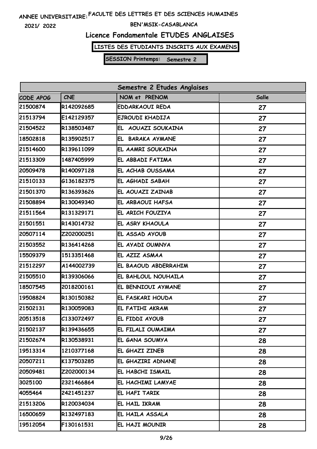**2021/ 2022**

### **BEN'MSIK-CASABLANCA**

# **Licence Fondamentale ETUDES ANGLAISES**

**LISTES DES ETUDIANTS INSCRITS AUX EXAMENS**

| Semestre 2 Etudes Anglaises |            |                        |       |  |
|-----------------------------|------------|------------------------|-------|--|
| CODE APOG                   | <b>CNE</b> | NOM et PRENOM          | Salle |  |
| 21500874                    | R142092685 | <b>EDDARKAOUI REDA</b> | 27    |  |
| 21513794                    | E142129357 | EJROUDI KHADIJA        | 27    |  |
| 21504522                    | R138503487 | EL AOUAZI SOUKAINA     | 27    |  |
| 18502818                    | R135902517 | EL BARAKA AYMANE       | 27    |  |
| 21514600                    | R139611099 | EL AAMRI SOUKAINA      | 27    |  |
| 21513309                    | 1487405999 | EL ABBADI FATIMA       | 27    |  |
| 20509478                    | R140097128 | EL ACHAB OUSSAMA       | 27    |  |
| 21510133                    | G136182375 | EL AGHADI SABAH        | 27    |  |
| 21501370                    | R136393626 | EL AOUAZI ZAINAB       | 27    |  |
| 21508894                    | R130049340 | EL ARBAOUI HAFSA       | 27    |  |
| 21511564                    | R131329171 | EL ARICH FOUZIYA       | 27    |  |
| 21501551                    | R143014732 | EL ASRY KHAOULA        | 27    |  |
| 20507114                    | Z202000251 | EL ASSAD AYOUB         | 27    |  |
| 21503552                    | R136414268 | EL AYADI OUMNYA        | 27    |  |
| 15509379                    | 1513351468 | EL AZIZ ASMAA          | 27    |  |
| 21512297                    | A144002739 | EL BAAOUD ABDERRAHIM   | 27    |  |
| 21505510                    | R139306066 | EL BAHLOUL NOUHAILA    | 27    |  |
| 18507545                    | 2018200161 | EL BENNIOUI AYMANE     | 27    |  |
| 19508824                    | R130150382 | EL FASKARI HOUDA       | 27    |  |
| 21502131                    | R130059083 | EL FATIHI AKRAM        | 27    |  |
| 20513518                    | C133072497 | EL FIDDI AYOUB         | 27    |  |
| 21502137                    | R139436655 | EL FILALI OUMAIMA      | 27    |  |
| 21502674                    | R130538931 | EL GANA SOUMYA         | 28    |  |
| 19513314                    | 1210377168 | EL GHAZI ZINEB         | 28    |  |
| 20507211                    | K137503285 | EL GHAZIRI ADNANE      | 28    |  |
| 20509481                    | Z202000134 | EL HABCHI ISMAIL       | 28    |  |
| 3025100                     | 2321466864 | EL HACHIMI LAMYAE      | 28    |  |
| 4055464                     | 2421451237 | EL HAFI TARIK          | 28    |  |
| 21513206                    | R120034034 | EL HAIL IKRAM          | 28    |  |
| 16500659                    | R132497183 | EL HAILA ASSALA        | 28    |  |
| 19512054                    | F130161531 | EL HAJI MOUNIR         | 28    |  |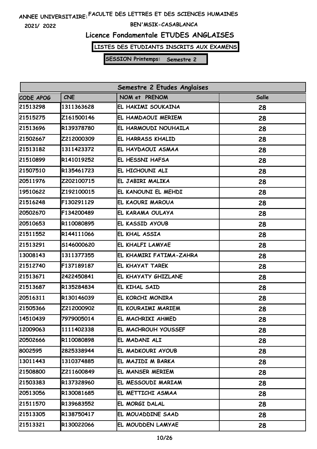**2021/ 2022**

### **BEN'MSIK-CASABLANCA**

# **Licence Fondamentale ETUDES ANGLAISES**

**LISTES DES ETUDIANTS INSCRITS AUX EXAMENS**

| Semestre 2 Etudes Anglaises |            |                         |       |
|-----------------------------|------------|-------------------------|-------|
| CODE APOG                   | <b>CNE</b> | NOM et PRENOM           | Salle |
| 21513298                    | 1311363628 | EL HAKIMI SOUKAINA      | 28    |
| 21515275                    | Z161500146 | EL HAMDAOUI MERIEM      | 28    |
| 21513696                    | R139378780 | EL HARMOUDI NOUHAILA    | 28    |
| 21502667                    | Z212000309 | EL HARRASS KHALID       | 28    |
| 21513182                    | 1311423372 | EL HAYDAOUI ASMAA       | 28    |
| 21510899                    | R141019252 | EL HESSNI HAFSA         | 28    |
| 21507510                    | R135461723 | EL HICHOUNI ALI         | 28    |
| 20511976                    | Z202100715 | EL JABIRI MALIKA        | 28    |
| 19510622                    | Z192100015 | EL KANOUNI EL MEHDI     | 28    |
| 21516248                    | F130291129 | EL KAOURI MAROUA        | 28    |
| 20502670                    | F134200489 | EL KARAMA OULAYA        | 28    |
| 20510653                    | R110080895 | EL KASSID AYOUB         | 28    |
| 21511552                    | R144111066 | EL KHAL ASSIA           | 28    |
| 21513291                    | S146000620 | EL KHALFI LAMYAE        | 28    |
| 13008143                    | 1311377355 | EL KHAMIRI FATIMA-ZAHRA | 28    |
| 21512740                    | F137189187 | EL KHAYAT TAREK         | 28    |
| 21513671                    | 2422450841 | EL KHAYATY GHIZLANE     | 28    |
| 21513687                    | R135284834 | EL KIHAL SAID           | 28    |
| 20516311                    | R130146039 | EL KORCHI MONIRA        | 28    |
| 21505366                    | Z212000902 | EL KOURAIMI MARIEM      | 28    |
| 14510439                    | 7979005014 | EL MACHRIKI AHMED       | 28    |
| 12009063                    | 1111402338 | EL MACHROUH YOUSSEF     | 28    |
| 20502666                    | R110080898 | EL MADANI ALI           | 28    |
| 8002595                     | 2825338944 | EL MADKOURI AYOUB       | 28    |
| 13011443                    | 1310374885 | EL MAJIDI M BARKA       | 28    |
| 21508800                    | Z211600849 | EL MANSER MERIEM        | 28    |
| 21503383                    | R137328960 | EL MESSOUDI MARIAM      | 28    |
| 20513056                    | R130081685 | EL METTICHI ASMAA       | 28    |
| 21511570                    | R139683552 | EL MORGI DALAL          | 28    |
| 21513305                    | R138750417 | EL MOUADDINE SAAD       | 28    |
| 21513321                    | R130022066 | EL MOUDDEN LAMYAE       | 28    |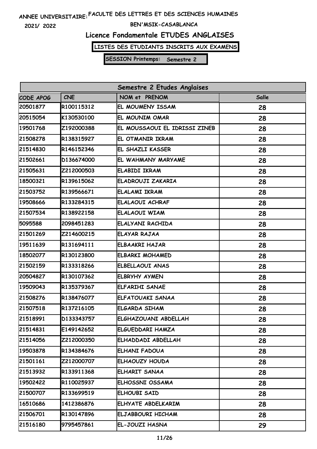**2021/ 2022**

### **BEN'MSIK-CASABLANCA**

# **Licence Fondamentale ETUDES ANGLAISES**

**LISTES DES ETUDIANTS INSCRITS AUX EXAMENS**

| Semestre 2 Etudes Anglaises |            |                               |       |
|-----------------------------|------------|-------------------------------|-------|
| CODE APOG                   | <b>CNE</b> | NOM et PRENOM                 | Salle |
| 20501877                    | R100115312 | EL MOUMENY ISSAM              | 28    |
| 20515054                    | K130530100 | EL MOUNIM OMAR                | 28    |
| 19501768                    | Z192000388 | EL MOUSSAOUI EL IDRISSI ZINEB | 28    |
| 21508278                    | R138315927 | EL OTMANIR IKRAM              | 28    |
| 21514830                    | R146152346 | EL SHAZLI KASSER              | 28    |
| 21502661                    | D136674000 | EL WAHMANY MARYAME            | 28    |
| 21505631                    | Z212000503 | <b>ELABIDI IKRAM</b>          | 28    |
| 18500321                    | R139615062 | ELADROUJI ZAKARIA             | 28    |
| 21503752                    | R139566671 | <b>ELALAMI IKRAM</b>          | 28    |
| 19508666                    | R133284315 | ELALAOUI ACHRAF               | 28    |
| 21507534                    | R138922158 | ELALAOUI WIAM                 | 28    |
| 5095588                     | 2098451283 | ELALYANI RACHIDA              | 28    |
| 21501269                    | Z214600215 | ELAYAR RAJAA                  | 28    |
| 19511639                    | R131694111 | <b>ELBAAKRI HAJAR</b>         | 28    |
| 18502077                    | R130123800 | <b>ELBARKI MOHAMED</b>        | 28    |
| 21502159                    | R133318266 | ELBELLAOUI ANAS               | 28    |
| 20504827                    | R130107362 | <b>ELBRYHY AYMEN</b>          | 28    |
| 19509043                    | R135379367 | <b>ELFARIHI SANAE</b>         | 28    |
| 21508276                    | R138476077 | ELFATOUAKI SANAA              | 28    |
| 21507518                    | R137216105 | ELGARDA SIHAM                 | 28    |
| 21518991                    | D133343757 | ELGHAZOUANI ABDELLAH          | 28    |
| 21514831                    | E149142652 | ELGUEDDARI HAMZA              | 28    |
| 21514056                    | Z212000350 | ELHADDADI ABDELLAH            | 28    |
| 19503878                    | R134384676 | ELHANI FADOUA                 | 28    |
| 21501161                    | Z212000707 | ELHAOUZY HOUDA                | 28    |
| 21513932                    | R133911368 | ELHARIT SANAA                 | 28    |
| 19502422                    | R110025937 | ELHOSSNI OSSAMA               | 28    |
| 21500707                    | R133699519 | ELHOUBI SAID                  | 28    |
| 16510686                    | 1412386876 | ELHYATE ABDELKARIM            | 28    |
| 21506701                    | R130147896 | ELJABBOURI HICHAM             | 28    |
| 21516180                    | 9795457861 | EL-JOUZI HASNA                | 29    |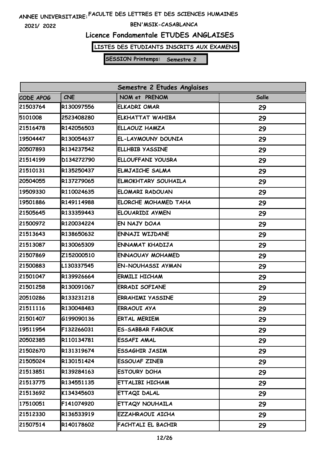**2021/ 2022**

### **BEN'MSIK-CASABLANCA**

# **Licence Fondamentale ETUDES ANGLAISES**

**LISTES DES ETUDIANTS INSCRITS AUX EXAMENS**

| Semestre 2 Etudes Anglaises |            |                            |       |
|-----------------------------|------------|----------------------------|-------|
| CODE APOG                   | <b>CNE</b> | NOM et PRENOM              | Salle |
| 21503764                    | R130097556 | <b>ELKADRI OMAR</b>        | 29    |
| 5101008                     | 2523408280 | <b>ELKHATTAT WAHIBA</b>    | 29    |
| 21516478                    | R142056503 | ELLAOUZ HAMZA              | 29    |
| 19504447                    | R130054637 | EL-LAYMOUNY DOUNIA         | 29    |
| 20507893                    | R134237542 | <b>ELLHBIB YASSINE</b>     | 29    |
| 21514199                    | D134272790 | ELLOUFFANI YOUSRA          | 29    |
| 21510131                    | R135250437 | <b>ELMJAICHE SALMA</b>     | 29    |
| 20504055                    | R137279065 | <b>ELMOKHTARY SOUHAILA</b> | 29    |
| 19509330                    | R110024635 | ELOMARI RADOUAN            | 29    |
| 19501886                    | R149114988 | ELORCHE MOHAMED TAHA       | 29    |
| 21505645                    | R133359443 | ELOUARIDI AYMEN            | 29    |
| 21500972                    | R120034224 | EN NAJY DOAA               | 29    |
| 21513643                    | R138650632 | ENNAJI WIJDANE             | 29    |
| 21513087                    | R130065309 | ENNAMAT KHADIJA            | 29    |
| 21507869                    | Z152000510 | <b>ENNAOUAY MOHAMED</b>    | 29    |
| 21500883                    | L130337545 | <b>EN-NOUHASSI AYMAN</b>   | 29    |
| 21501047                    | R139926664 | <b>ERMILI HICHAM</b>       | 29    |
| 21501258                    | R130091067 | <b>ERRADI SOFIANE</b>      | 29    |
| 20510286                    | R133231218 | <b>ERRAHIMI YASSINE</b>    | 29    |
| 21511116                    | R130048483 | ERRAOUI AYA                | 29    |
| 21501407                    | G199090136 | <b>ERTAL MERIEM</b>        | 29    |
| 19511954                    | F132266031 | <b>ES-SABBAR FAROUK</b>    | 29    |
| 20502385                    | R110134781 | <b>ESSAFI AMAL</b>         | 29    |
| 21502670                    | R131319674 | ESSAGHIR JASIM             | 29    |
| 21505024                    | R130151424 | <b>ESSOUAF ZINEB</b>       | 29    |
| 21513851                    | R139284163 | ESTOURY DOHA               | 29    |
| 21513775                    | R134551135 | ETTALIBI HICHAM            | 29    |
| 21513692                    | K134345603 | ETTAQI DALAL               | 29    |
| 17510051                    | F141074920 | ETTAQY NOUHAILA            | 29    |
| 21512330                    | R136533919 | EZZAHRAOUI AICHA           | 29    |
| 21507514                    | R140178602 | FACHTALI EL BACHIR         | 29    |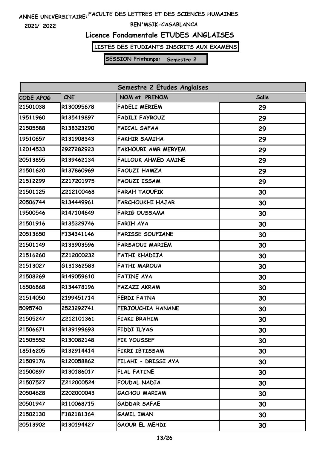**2021/ 2022**

### **BEN'MSIK-CASABLANCA**

# **Licence Fondamentale ETUDES ANGLAISES**

**LISTES DES ETUDIANTS INSCRITS AUX EXAMENS**

| Semestre 2 Etudes Anglaises |            |                            |       |
|-----------------------------|------------|----------------------------|-------|
| CODE APOG                   | <b>CNE</b> | NOM et PRENOM              | Salle |
| 21501038                    | R130095678 | <b>FADELI MERIEM</b>       | 29    |
| 19511960                    | R135419897 | <b>FADILI FAYROUZ</b>      | 29    |
| 21505588                    | R138323290 | <b>FAICAL SAFAA</b>        | 29    |
| 19510657                    | R131908343 | <b>FAKHIR SAMIHA</b>       | 29    |
| 12014533                    | 2927282923 | <b>FAKHOURI AMR MERYEM</b> | 29    |
| 20513855                    | R139462134 | <b>FALLOUK AHMED AMINE</b> | 29    |
| 21501620                    | R137860969 | <b>FAOUZI HAMZA</b>        | 29    |
| 21512299                    | Z217201975 | <b>FAOUZI ISSAM</b>        | 29    |
| 21501125                    | Z212100468 | <b>FARAH TAOUFIK</b>       | 30    |
| 20506744                    | R134449961 | <b>FARCHOUKHI HAJAR</b>    | 30    |
| 19500546                    | R147104649 | <b>FARIG OUSSAMA</b>       | 30    |
| 21501916                    | R135329746 | <b>FARIH AYA</b>           | 30    |
| 20513650                    | F134341146 | <b>FARISSE SOUFIANE</b>    | 30    |
| 21501149                    | R133903596 | <b>FARSAOUI MARIEM</b>     | 30    |
| 21516260                    | Z212000232 | FATHI KHADIJA              | 30    |
| 21513027                    | G131362583 | <b>FATHI MAROUA</b>        | 30    |
| 21508269                    | R149059610 | <b>FATINE AYA</b>          | 30    |
| 16506868                    | R134478196 | <b>FAZAZI AKRAM</b>        | 30    |
| 21514050                    | 2199451714 | <b>FERDI FATNA</b>         | 30    |
| 5095740                     | 2523292741 | FERJOUCHIA HANANE          | 30    |
| 21505247                    | Z212101361 | <b>FIAKI BRAHIM</b>        | 30    |
| 21506671                    | R139199693 | FIDDI ILYAS                | 30    |
| 21505552                    | R130082148 | FIK YOUSSEF                | 30    |
| 18516205                    | R132914414 | FIKRI IBTISSAM             | 30    |
| 21509176                    | R120058862 | FILAHI - DRISSI AYA        | 30    |
| 21500897                    | R130186017 | <b>FLAL FATINE</b>         | 30    |
| 21507527                    | Z212000524 | FOUDAL NADIA               | 30    |
| 20504628                    | Z202000043 | <b>GACHOU MARIAM</b>       | 30    |
| 20501947                    | R110068715 | <b>GADDAR SAFAE</b>        | 30    |
| 21502130                    | F182181364 | <b>GAMIL IMAN</b>          | 30    |
| 20513902                    | R130194427 | <b>GAOUR EL MEHDI</b>      | 30    |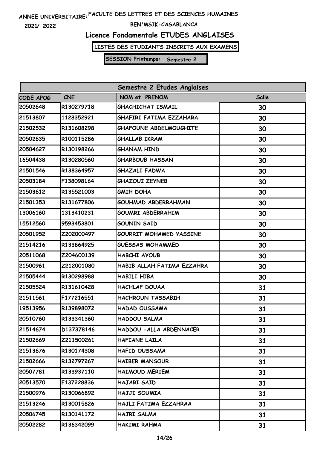**2021/ 2022**

#### **BEN'MSIK-CASABLANCA**

# **Licence Fondamentale ETUDES ANGLAISES**

**LISTES DES ETUDIANTS INSCRITS AUX EXAMENS**

| Semestre 2 Etudes Anglaises |            |                                |       |
|-----------------------------|------------|--------------------------------|-------|
| CODE APOG                   | <b>CNE</b> | NOM et PRENOM                  | Salle |
| 20502648                    | R130279718 | GHACHICHAT ISMAIL              | 30    |
| 21513807                    | 1128352921 | GHAFIRI FATIMA EZZAHARA        | 30    |
| 21502532                    | R131608298 | <b>GHAFOUNE ABDELMOUGHITE</b>  | 30    |
| 20502635                    | R100115286 | <b>GHALLAB IKRAM</b>           | 30    |
| 20504627                    | R130198266 | <b>GHANAM HIND</b>             | 30    |
| 16504438                    | R130280560 | <b>GHARBOUB HASSAN</b>         | 30    |
| 21501546                    | R138364957 | GHAZALI FADWA                  | 30    |
| 20503184                    | F138098164 | <b>GHAZOUI ZEYNEB</b>          | 30    |
| 21503612                    | R135521003 | <b>GMIH DOHA</b>               | 30    |
| 21501353                    | R131677806 | <b>GOUHMAD ABDERRAHMAN</b>     | 30    |
| 13006160                    | 1313410231 | <b>GOUMRI ABDERRAHIM</b>       | 30    |
| 15512560                    | 9593453801 | <b>GOUNIN SAID</b>             | 30    |
| 20501952                    | Z202000497 | <b>GOURRIT MOHAMED YASSINE</b> | 30    |
| 21514216                    | R133864925 | <b>GUESSAS MOHAMMED</b>        | 30    |
| 20511068                    | Z204600139 | HABCHI AYOUB                   | 30    |
| 21500961                    | Z212001080 | HABIB ALLAH FATIMA EZZAHRA     | 30    |
| 21505444                    | R130298988 | HABILI HIBA                    | 30    |
| 21505524                    | R131610428 | <b>HACHLAF DOUAA</b>           | 31    |
| 21511561                    | F177216551 | <b>HACHROUN TASSABIH</b>       | 31    |
| 19513956                    | R139898072 | HADAD OUSSAMA                  | 31    |
| 20510760                    | R133341360 | HADDOU SALMA                   | 31    |
| 21514674                    | D137378146 | HADDOU - ALLA ABDENNACER       | 31    |
| 21502669                    | Z211500261 | HAFIANE LAILA                  | 31    |
| 21513676                    | R130174308 | HAFID OUSSAMA                  | 31    |
| 21502666                    | R132797267 | <b>HAIBER MANSOUR</b>          | 31    |
| 20507781                    | R133937110 | <b>HAIMOUD MERIEM</b>          | 31    |
| 20513570                    | F137228836 | HAJARI SAID                    | 31    |
| 21500976                    | R130066892 | HAJJI SOUMIA                   | 31    |
| 21513246                    | R130015826 | HAJLI FATIMA EZZAHRAA          | 31    |
| 20506745                    | R130141172 | HAJRI SALMA                    | 31    |
| 20502282                    | R136342099 | HAKIMI RAHMA                   | 31    |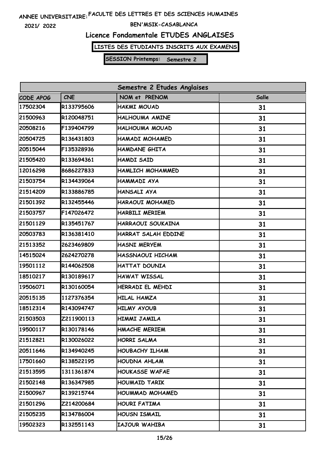**2021/ 2022**

### **BEN'MSIK-CASABLANCA**

# **Licence Fondamentale ETUDES ANGLAISES**

**LISTES DES ETUDIANTS INSCRITS AUX EXAMENS**

| Semestre 2 Etudes Anglaises |            |                        |       |  |
|-----------------------------|------------|------------------------|-------|--|
| CODE APOG                   | <b>CNE</b> | NOM et PRENOM          | Salle |  |
| 17502304                    | R133795606 | <b>HAKMI MOUAD</b>     | 31    |  |
| 21500963                    | R120048751 | HALHOUMA AMINE         | 31    |  |
| 20508216                    | F139404799 | HALHOUMA MOUAD         | 31    |  |
| 20504725                    | R136431803 | HAMADI MOHAMED         | 31    |  |
| 20515044                    | F135328936 | HAMDANE GHITA          | 31    |  |
| 21505420                    | R133694361 | <b>HAMDI SAID</b>      | 31    |  |
| 12016298                    | 8686227833 | HAMLICH MOHAMMED       | 31    |  |
| 21503754                    | R134439064 | HAMMADI AYA            | 31    |  |
| 21514209                    | R133886785 | HANSALI AYA            | 31    |  |
| 21501392                    | R132455446 | HARAOUI MOHAMED        | 31    |  |
| 21503757                    | F147026472 | <b>HARBILI MERIEM</b>  | 31    |  |
| 21501129                    | R135451767 | HARRAOUI SOUKAINA      | 31    |  |
| 20503783                    | R136381410 | HARRAT SALAH EDDINE    | 31    |  |
| 21513352                    | 2623469809 | <b>HASNI MERYEM</b>    | 31    |  |
| 14515024                    | 2624270278 | HASSNAOUI HICHAM       | 31    |  |
| 19501112                    | R144062508 | HATTAT DOUNIA          | 31    |  |
| 18510217                    | R130189617 | <b>HAWAT WISSAL</b>    | 31    |  |
| 19506071                    | R130160054 | HERRADI EL MEHDI       | 31    |  |
| 20515135                    | 1127376354 | <b>HILAL HAMZA</b>     | 31    |  |
| 18512314                    | R143094747 | <b>HILMY AYOUB</b>     | 31    |  |
| 21503503                    | Z211900113 | HIMMI JAMILA           | 31    |  |
| 19500117                    | R130178146 | <b>HMACHE MERIEM</b>   | 31    |  |
| 21512821                    | R130026022 | <b>HORRI SALMA</b>     | 31    |  |
| 20511646                    | R134940245 | HOUBACHY ILHAM         | 31    |  |
| 17501660                    | R138522195 | <b>HOUDNA AHLAM</b>    | 31    |  |
| 21513595                    | 1311361874 | <b>HOUKASSE WAFAE</b>  | 31    |  |
| 21502148                    | R136347985 | <b>HOUMAID TARIK</b>   | 31    |  |
| 21500967                    | R139215744 | <b>HOUMMAD MOHAMED</b> | 31    |  |
| 21501296                    | Z214200684 | <b>HOURI FATIMA</b>    | 31    |  |
| 21505235                    | R134786004 | HOUSN ISMAIL           | 31    |  |
| 19502323                    | R132551143 | IAJOUR WAHIBA          | 31    |  |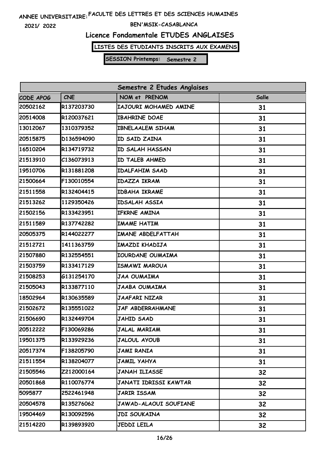**2021/ 2022**

### **BEN'MSIK-CASABLANCA**

# **Licence Fondamentale ETUDES ANGLAISES**

**LISTES DES ETUDIANTS INSCRITS AUX EXAMENS**

| Semestre 2 Etudes Anglaises |                   |                         |              |
|-----------------------------|-------------------|-------------------------|--------------|
| CODE APOG                   | <b>CNE</b>        | NOM et PRENOM           | <b>Salle</b> |
| 20502162                    | R137203730        | IAJOURI MOHAMED AMINE   | 31           |
| 20514008                    | R120037621        | <b>IBAHRINE DOAE</b>    | 31           |
| 13012067                    | 1310379352        | <b>IBNELAALEM SIHAM</b> | 31           |
| 20515875                    | D136594090        | ID SAID ZAINA           | 31           |
| 16510204                    | R134719732        | <b>ID SALAH HASSAN</b>  | 31           |
| 21513910                    | C136073913        | ID TALEB AHMED          | 31           |
| 19510706                    | R131881208        | <b>IDALFAHIM SAAD</b>   | 31           |
| 21500664                    | F130010554        | IDAZZA IKRAM            | 31           |
| 21511558                    | R132404415        | <b>IDBAHA IKRAME</b>    | 31           |
| 21513262                    | 1129350426        | IDSALAH ASSIA           | 31           |
| 21502156                    | R133423951        | IFKRNE AMINA            | 31           |
| 21511589                    | R137742282        | <b>IMAME HATIM</b>      | 31           |
| 20505375                    | R144022277        | IMANE ABDELFATTAH       | 31           |
| 21512721                    | 1411363759        | IMAZDI KHADIJA          | 31           |
| 21507880                    | R132554551        | IOURDANE OUMAIMA        | 31           |
| 21503759                    | R133417129        | <b>ISMAWI MAROUA</b>    | 31           |
| 21508253                    | G131254170        | JAA OUMAIMA             | 31           |
| 21505043                    | R133877110        | JAABA OUMAIMA           | 31           |
| 18502964                    | R130635589        | JAAFARI NIZAR           | 31           |
| 21502672                    | R135551022        | JAF ABDERRAHMANE        | 31           |
| 21506690                    | R132449704        | <b>JAHID SAAD</b>       | 31           |
| 20512222                    | F130069286        | <b>JALAL MARIAM</b>     | 31           |
| 19501375                    | R133929236        | <b>JALOUL AYOUB</b>     | 31           |
| 20517374                    | F138205790        | <b>JAMI RANIA</b>       | 31           |
| 21511554                    | <b>R138204077</b> | JAMIL YAHYA             | 31           |
| 21505546                    | Z212000164        | JANAH ILIASSE           | 32           |
| 20501868                    | R110076774        | JANATI IDRISSI KAWTAR   | 32           |
| 5095877                     | 2522461948        | JARIR ISSAM             | 32           |
| 20504578                    | R135276062        | JAWAD-ALAOUI SOUFIANE   | 32           |
| 19504469                    | R130092596        | <b>JDI SOUKAINA</b>     | 32           |
| 21514220                    | R139893920        | <b>JEDDI LEILA</b>      | 32           |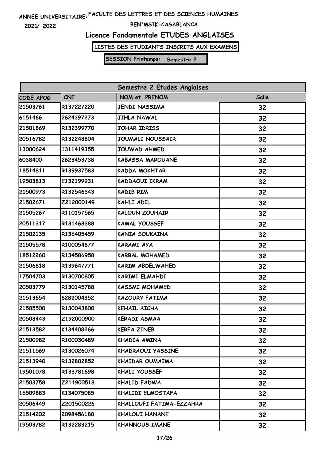**2021/ 2022**

### **BEN'MSIK-CASABLANCA**

# **Licence Fondamentale ETUDES ANGLAISES**

**LISTES DES ETUDIANTS INSCRITS AUX EXAMENS**

| Semestre 2 Etudes Anglaises |            |                          |              |
|-----------------------------|------------|--------------------------|--------------|
| CODE APOG                   | <b>CNE</b> | NOM et PRENOM            | <b>Salle</b> |
| 21503761                    | R137227220 | <b>JENDI NASSIMA</b>     | 32           |
| 6151466                     | 2624397273 | <b>JIHLA NAWAL</b>       | 32           |
| 21501869                    | R132399770 | JOHAR IDRISS             | 32           |
| 20516782                    | R132248804 | <b>JOUMALI NOUSSAIR</b>  | 32           |
| 13000624                    | 1311419355 | JOUWAD AHMED             | 32           |
| 6038400                     | 2623453738 | <b>KABASSA MAROUANE</b>  | 32           |
| 18514811                    | R139937583 | KADDA MOKHTAR            | 32           |
| 19503813                    | E132199931 | KADDAOUI IKRAM           | 32           |
| 21500973                    | R132546343 | <b>KADIB RIM</b>         | 32           |
| 21502671                    | Z212000149 | KAHLI ADIL               | 32           |
| 21505267                    | R110157565 | <b>KALOUN ZOUHAIR</b>    | 32           |
| 20511317                    | R131468388 | <b>KAMAL YOUSSEF</b>     | 32           |
| 21502135                    | R136405459 | KANIA SOUKAINA           | 32           |
| 21505578                    | R100054877 | <b>KARAMI AYA</b>        | 32           |
| 18512260                    | R134586958 | <b>KARBAL MOHAMED</b>    | 32           |
| 21506818                    | R139647771 | KARIM ABDELWAHED         | 32           |
| 17504703                    | R130700805 | KARIMI ELMAHDI           | 32           |
| 20503779                    | R130145788 | <b>KASSMI MOHAMED</b>    | 32           |
| 21513654                    | 8282004352 | <b>KAZOURY FATIMA</b>    | 32           |
| 21505500                    | R130043800 | KEHAIL AICHA             | 32           |
| 20508443                    | Z192000900 | <b>KERADI ASMAA</b>      | 32           |
| 21513582                    | K134408266 | <b>KERFA ZINEB</b>       | 32           |
| 21500982                    | R100030489 | KHADIA AMINA             | 32           |
| 21511569                    | R130026074 | KHADRAOUI YASSINE        | 32           |
| 21513940                    | R132802852 | KHAIDAR OUMAIMA          | 32           |
| 19501078                    | R133781698 | KHALI YOUSSEF            | 32           |
| 21503758                    | Z211900518 | KHALID FADWA             | 32           |
| 16509883                    | K134075085 | KHALIDI ELMOSTAFA        | 32           |
| 20506449                    | Z201500226 | KHALLOUFI FATIMA-EZZAHRA | 32           |
| 21514202                    | 2098456188 | <b>KHALOUI HANANE</b>    | 32           |
| 19503782                    | R132283215 | <b>KHANNOUS IMANE</b>    | 32           |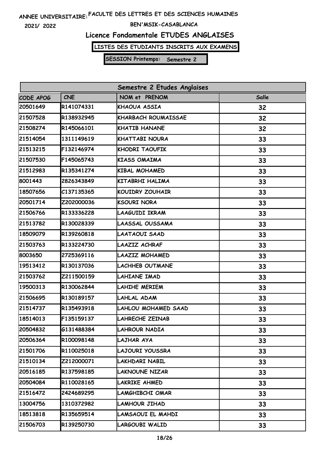**2021/ 2022**

### **BEN'MSIK-CASABLANCA**

# **Licence Fondamentale ETUDES ANGLAISES**

**LISTES DES ETUDIANTS INSCRITS AUX EXAMENS**

| Semestre 2 Etudes Anglaises |            |                            |       |
|-----------------------------|------------|----------------------------|-------|
| CODE APOG                   | <b>CNE</b> | NOM et PRENOM              | Salle |
| 20501649                    | R141074331 | KHAOUA ASSIA               | 32    |
| 21507528                    | R138932945 | <b>KHARBACH ROUMAISSAE</b> | 32    |
| 21508274                    | R145066101 | <b>KHATIB HANANE</b>       | 32    |
| 21514054                    | 1311149619 | <b>KHATTABI NOURA</b>      | 33    |
| 21513215                    | F132146974 | <b>KHODRI TAOUFIK</b>      | 33    |
| 21507530                    | F145065743 | <b>KIASS OMAIMA</b>        | 33    |
| 21512983                    | R135341274 | <b>KIBAL MOHAMED</b>       | 33    |
| 8001443                     | 2826343849 | <b>KITABRHI HALIMA</b>     | 33    |
| 18507656                    | C137135365 | <b>KOUIDRY ZOUHAIR</b>     | 33    |
| 20501714                    | Z202000036 | <b>KSOURI NORA</b>         | 33    |
| 21506766                    | R133336228 | LAAGUIDI IKRAM             | 33    |
| 21513782                    | R130028339 | LAASSAL OUSSAMA            | 33    |
| 18509079                    | R139260818 | LAATAOUI SAAD              | 33    |
| 21503763                    | R133224730 | LAAZIZ ACHRAF              | 33    |
| 8003650                     | 2725369116 | LAAZIZ MOHAMED             | 33    |
| 19513412                    | R130137036 | <b>LACHHEB OUTMANE</b>     | 33    |
| 21503762                    | Z211500159 | LAHIANE IMAD               | 33    |
| 19500313                    | R130062844 | <b>LAHIHE MERIEM</b>       | 33    |
| 21506695                    | R130189157 | LAHLAL ADAM                | 33    |
| 21514737                    | R135493918 | LAHLOU MOHAMED SAAD        | 33    |
| 18514013                    | F135159137 | LAHRECHE ZEINAB            | 33    |
| 20504832                    | G131488384 | LAHROUR NADIA              | 33    |
| 20506364                    | R100098148 | LAJHAR AYA                 | 33    |
| 21501706                    | R110025018 | LAJOURI YOUSSRA            | 33    |
| 21510134                    | Z212000071 | LAKHDARI NABIL             | 33    |
| 20516185                    | R137598185 | <b>LAKNOUNE NIZAR</b>      | 33    |
| 20504084                    | R110028165 | LAKRIKE AHMED              | 33    |
| 21516472                    | 2424689295 | LAMGHIBCHI OMAR            | 33    |
| 13004756                    | 1310372982 | LAMHOUR JIHAD              | 33    |
| 18513818                    | R135659514 | LAMSAOUI EL MAHDI          | 33    |
| 21506703                    | R139250730 | <b>LARGOUBI WALID</b>      | 33    |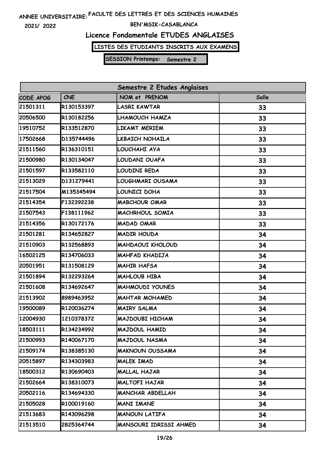**2021/ 2022**

### **BEN'MSIK-CASABLANCA**

# **Licence Fondamentale ETUDES ANGLAISES**

**LISTES DES ETUDIANTS INSCRITS AUX EXAMENS**

| Semestre 2 Etudes Anglaises |            |                         |              |
|-----------------------------|------------|-------------------------|--------------|
| CODE APOG                   | <b>CNE</b> | NOM et PRENOM           | <b>Salle</b> |
| 21501311                    | R130153397 | <b>LASRI KAWTAR</b>     | 33           |
| 20506500                    | R130182256 | LHAMOUCH HAMZA          | 33           |
| 19510752                    | R133512870 | LIKAMT MERIEM           | 33           |
| 17502668                    | D135744496 | LKBAICH NOHAILA         | 33           |
| 21511560                    | R136310151 | LOUCHAHI AYA            | 33           |
| 21500980                    | R130134047 | LOUDANI OUAFA           | 33           |
| 21501597                    | R133582110 | LOUDINI REDA            | 33           |
| 21513029                    | D131279441 | LOUGHMARI OUSAMA        | 33           |
| 21517504                    | M135345494 | LOUNICI DOHA            | 33           |
| 21514354                    | F132392238 | <b>MABCHOUR OMAR</b>    | 33           |
| 21507543                    | F138111962 | MACHRHOUL SOMIA         | 33           |
| 21514356                    | R130172176 | <b>MADAD OMAR</b>       | 33           |
| 21501281                    | R134652827 | <b>MADIR HOUDA</b>      | 34           |
| 21510903                    | R132568893 | <b>MAHDAOUI KHOLOUD</b> | 34           |
| 16502125                    | R134706033 | <b>MAHFAD KHADIJA</b>   | 34           |
| 20501951                    | R131508129 | <b>MAHIR HAFSA</b>      | 34           |
| 21501894                    | R132293264 | MAHLOUB HIBA            | 34           |
| 21501608                    | R134692647 | <b>MAHMOUDI YOUNES</b>  | 34           |
| 21513902                    | 8989463952 | <b>MAHTAR MOHAMED</b>   | 34           |
| 19500089                    | R120036274 | <b>MAIRY SALMA</b>      | 34           |
| 12004930                    | 1210378372 | <b>MAJDOUBI HICHAM</b>  | 34           |
| 18503111                    | R134234992 | MAJDOUL HAMID           | 34           |
| 21500993                    | R140067170 | <b>MAJDOUL NASMA</b>    | 34           |
| 21509174                    | R138385130 | <b>MAKNOUN OUSSAMA</b>  | 34           |
| 20515897                    | R134303983 | MALEK IMAD              | 34           |
| 18500312                    | R130690403 | <b>MALLAL HAJAR</b>     | 34           |
| 21502664                    | R138310073 | <b>MALTOFI HAJAR</b>    | 34           |
| 20502116                    | R134694330 | <b>MANCHAR ABDELLAH</b> | 34           |
| 21505028                    | R100019160 | <b>MANI IMANE</b>       | 34           |
| 21513683                    | R143096298 | <b>MANOUN LATIFA</b>    | 34           |
| 21513510                    | 2825364744 | MANSOURI IDRISSI AHMED  | 34           |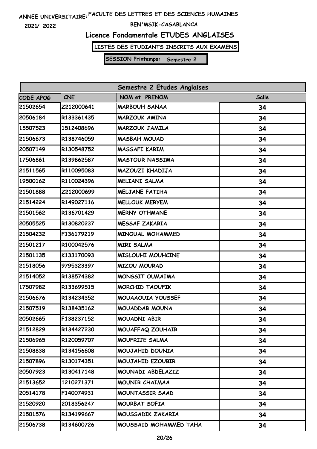**2021/ 2022**

### **BEN'MSIK-CASABLANCA**

# **Licence Fondamentale ETUDES ANGLAISES**

**LISTES DES ETUDIANTS INSCRITS AUX EXAMENS**

| Semestre 2 Etudes Anglaises |            |                        |       |
|-----------------------------|------------|------------------------|-------|
| CODE APOG                   | <b>CNE</b> | NOM et PRENOM          | Salle |
| 21502654                    | Z212000641 | <b>MARBOUH SANAA</b>   | 34    |
| 20506184                    | R133361435 | <b>MARZOUK AMINA</b>   | 34    |
| 15507523                    | 1512408696 | <b>MARZOUK JAMILA</b>  | 34    |
| 21506673                    | R138746059 | <b>MASBAH MOUAD</b>    | 34    |
| 20507149                    | R130548752 | <b>MASSAFI KARIM</b>   | 34    |
| 17506861                    | R139862587 | <b>MASTOUR NASSIMA</b> | 34    |
| 21511565                    | R110095083 | MAZOUZI KHADIJA        | 34    |
| 19500162                    | R110024396 | MELIANI SALMA          | 34    |
| 21501888                    | Z212000699 | <b>MELJANE FATIHA</b>  | 34    |
| 21514224                    | R149027116 | <b>MELLOUK MERYEM</b>  | 34    |
| 21501562                    | R136701429 | <b>MERNY OTHMANE</b>   | 34    |
| 20505525                    | R130820237 | <b>MESSAF ZAKARIA</b>  | 34    |
| 21504232                    | F136179219 | MINOUAL MOHAMMED       | 34    |
| 21501217                    | R100042576 | <b>MIRI SALMA</b>      | 34    |
| 21501135                    | K133170093 | MISLOUHI MOUHCINE      | 34    |
| 21518056                    | 9795323397 | <b>MIZOU MOURAD</b>    | 34    |
| 21514052                    | R138574382 | MONSSIT OUMAIMA        | 34    |
| 17507982                    | R133699515 | <b>MORCHID TAOUFIK</b> | 34    |
| 21506676                    | R134234352 | MOUAAOUIA YOUSSEF      | 34    |
| 21507519                    | R138435162 | <b>MOUADDAB MOUNA</b>  | 34    |
| 20502665                    | F138237152 | MOUADNI ABIR           | 34    |
| 21512829                    | R134427230 | MOUAFFAQ ZOUHAIR       | 34    |
| 21506965                    | R120059707 | MOUFRIJE SALMA         | 34    |
| 21508838                    | R134156608 | MOUJAHID DOUNIA        | 34    |
| 21507896                    | R130174351 | MOUJAHID EZOUBIR       | 34    |
| 20507923                    | R130417148 | MOUNADI ABDELAZIZ      | 34    |
| 21513652                    | 1210271371 | MOUNIR CHAIMAA         | 34    |
| 20514178                    | F140074931 | <b>MOUNTASSIR SAAD</b> | 34    |
| 21520920                    | 2018356247 | <b>MOURBAT SOFIA</b>   | 34    |
| 21501576                    | R134199667 | MOUSSADIK ZAKARIA      | 34    |
| 21506738                    | R134600726 | MOUSSAID MOHAMMED TAHA | 34    |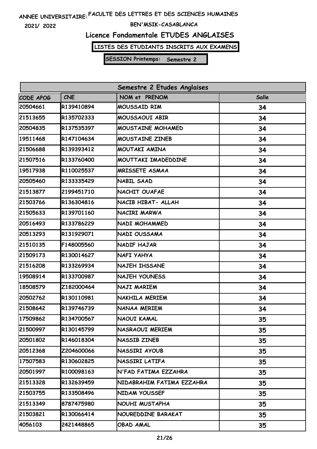**2021/ 2022**

### **BEN'MSIK-CASABLANCA**

# **Licence Fondamentale ETUDES ANGLAISES**

**LISTES DES ETUDIANTS INSCRITS AUX EXAMENS**

| Semestre 2 Etudes Anglaises |            |                           |       |
|-----------------------------|------------|---------------------------|-------|
| CODE APOG                   | <b>CNE</b> | NOM et PRENOM             | Salle |
| 20504661                    | R139410894 | <b>MOUSSAID RIM</b>       | 34    |
| 21513655                    | R135702333 | MOUSSAOUI ABIR            | 34    |
| 20504835                    | R137535397 | MOUSTAINE MOHAMED         | 34    |
| 19511468                    | R147104634 | MOUSTAINE ZINEB           | 34    |
| 21506688                    | R139393412 | MOUTAKI AMINA             | 34    |
| 21507516                    | R133760400 | MOUTTAKI IMADEDDINE       | 34    |
| 19517938                    | R110025537 | <b>MRISSETE ASMAA</b>     | 34    |
| 20505460                    | R133335429 | NABIL SAAD                | 34    |
| 21513877                    | 2199451710 | NACHIT OUAFAE             | 34    |
| 21503766                    | R136304816 | NACIB HIBAT- ALLAH        | 34    |
| 21505633                    | R139701160 | NACIRI MARWA              | 34    |
| 20516493                    | R133786229 | NADI MOHAMMED             | 34    |
| 20513293                    | R131929071 | <b>NADI OUSSAMA</b>       | 34    |
| 21510135                    | F148005560 | NADIF HAJAR               | 34    |
| 21509173                    | R130014627 | NAFI YAHYA                | 34    |
| 21516208                    | R133269934 | NAJEH IHSSANE             | 34    |
| 19508914                    | R133700987 | <b>NAJEH YOUNESS</b>      | 34    |
| 18508579                    | Z182000464 | NAJI MARIEM               | 34    |
| 20502762                    | R130110981 | NAKHILA MERIEM            | 34    |
| 21508642                    | R139746739 | NANAA MERIEM              | 34    |
| 17509862                    | R134700567 | NAOUI KAMAL               | 35    |
| 21500997                    | R130145799 | NASRAOUI MERIEM           | 35    |
| 20501802                    | R146018304 | <b>NASSIB ZINEB</b>       | 35    |
| 20512368                    | Z204600066 | NASSIRI AYOUB             | 35    |
| 17507583                    | R130602825 | NASSIRI LATIFA            | 35    |
| 20501997                    | R100098163 | N'FAD FATIMA EZZAHRA      | 35    |
| 21513328                    | R132639459 | NIDABRAHIM FATIMA EZZAHRA | 35    |
| 21503755                    | R133508496 | NIDAM YOUSSEF             | 35    |
| 21513349                    | 8787475980 | NOUHI MUSTAPHA            | 35    |
| 21503821                    | R130066414 | NOUREDDINE BARAKAT        | 35    |
| 4056103                     | 2421448865 | OBAD AMAL                 | 35    |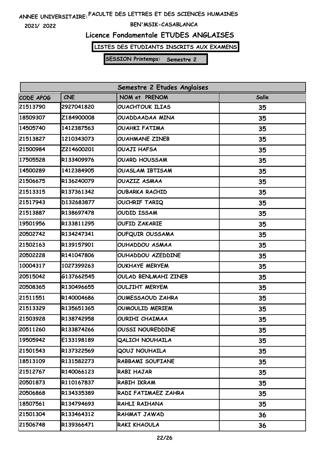**2021/ 2022**

### **BEN'MSIK-CASABLANCA**

# **Licence Fondamentale ETUDES ANGLAISES**

**LISTES DES ETUDIANTS INSCRITS AUX EXAMENS**

| Semestre 2 Etudes Anglaises |            |                         |       |
|-----------------------------|------------|-------------------------|-------|
| CODE APOG                   | <b>CNE</b> | NOM et PRENOM           | Salle |
| 21513790                    | 2927041820 | <b>OUACHTOUK ILIAS</b>  | 35    |
| 18509307                    | Z184900008 | OUADDAADAA MINA         | 35    |
| 14505740                    | 1412387563 | <b>OUAHKI FATIMA</b>    | 35    |
| 21513827                    | 1210343073 | <b>OUAHMANE ZINEB</b>   | 35    |
| 21500984                    | Z214600201 | OUAJI HAFSA             | 35    |
| 17505528                    | R133409976 | <b>OUARD HOUSSAM</b>    | 35    |
| 14500289                    | 1412384905 | <b>OUASLAM IBTISAM</b>  | 35    |
| 21506675                    | R136240079 | <b>OUAZIZ ASMAA</b>     | 35    |
| 21513315                    | R137361342 | <b>OUBARKA RACHID</b>   | 35    |
| 21517943                    | D132683877 | <b>OUCHRIF TARIQ</b>    | 35    |
| 21513887                    | R138697478 | <b>OUDID ISSAM</b>      | 35    |
| 19501956                    | R133811295 | <b>OUFID ZAKARIE</b>    | 35    |
| 20502742                    | R134247341 | OUFQUIR OUSSAMA         | 35    |
| 21502163                    | R139157901 | OUHADDOU ASMAA          | 35    |
| 20502228                    | R141047806 | OUHADDOU AZEDDINE       | 35    |
| 10004317                    | 1027399263 | <b>OUKHAYE MERYEM</b>   | 35    |
| 20515042                    | G137662545 | OULAD BENLMAHI ZINEB    | 35    |
| 20508365                    | R130496655 | <b>OULJIHT MERYEM</b>   | 35    |
| 21511551                    | R140004686 | <b>OUMESSAOUD ZAHRA</b> | 35    |
| 21513329                    | R135651365 | OUMOULID MERIEM         | 35    |
| 21503928                    | R138742958 | <b>OURIHI CHAIMAA</b>   | 35    |
| 20511260                    | R133874266 | <b>OUSSI NOUREDDINE</b> | 35    |
| 19505942                    | E133198189 | <b>QALICH NOUHAILA</b>  | 35    |
| 21501543                    | R137322569 | <b>QOUJ NOUHAILA</b>    | 35    |
| 18513109                    | R131582273 | RABBAMI SOUFIANE        | 35    |
| 21512767                    | R140066123 | RABI HAJAR              | 35    |
| 20501873                    | R110167837 | RABIH IKRAM             | 35    |
| 20506868                    | R134335389 | RADI FATIMAEZ ZAHRA     | 35    |
| 18507561                    | R134794693 | RAHLI RAIHANA           | 35    |
| 21501304                    | R133464312 | RAHMAT JAWAD            | 36    |
| 21506748                    | R139366471 | RAKI KHAOULA            | 36    |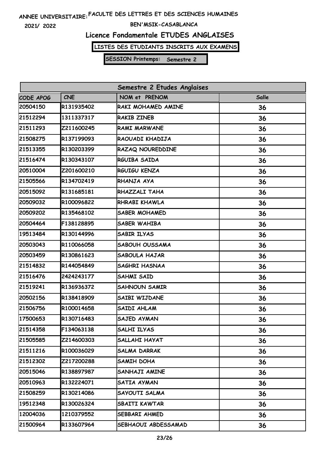**2021/ 2022**

### **BEN'MSIK-CASABLANCA**

# **Licence Fondamentale ETUDES ANGLAISES**

**LISTES DES ETUDIANTS INSCRITS AUX EXAMENS**

| Semestre 2 Etudes Anglaises |            |                       |       |
|-----------------------------|------------|-----------------------|-------|
| CODE APOG                   | <b>CNE</b> | NOM et PRENOM         | Salle |
| 20504150                    | R131935402 | RAKI MOHAMED AMINE    | 36    |
| 21512294                    | 1311337317 | <b>RAKIB ZINEB</b>    | 36    |
| 21511293                    | Z211600245 | <b>RAMI MARWANE</b>   | 36    |
| 21508275                    | R137199093 | RAOUADI KHADIJA       | 36    |
| 21513355                    | R130203399 | RAZAQ NOUREDDINE      | 36    |
| 21516474                    | R130343107 | RGUIBA SAIDA          | 36    |
| 20510004                    | Z201600210 | RGUIGU KENZA          | 36    |
| 21505566                    | R134702419 | RHANJA AYA            | 36    |
| 20515092                    | R131685181 | RHAZZALI TAHA         | 36    |
| 20509032                    | R100096822 | RHRABI KHAWLA         | 36    |
| 20509202                    | R135468102 | <b>SABER MOHAMED</b>  | 36    |
| 20504464                    | F138128895 | <b>SABER WAHIBA</b>   | 36    |
| 19513484                    | R130144996 | <b>SABIR ILYAS</b>    | 36    |
| 20503043                    | R110066058 | <b>SABOUH OUSSAMA</b> | 36    |
| 20503459                    | R130861623 | SABOULA HAJAR         | 36    |
| 21514832                    | R144054849 | <b>SAGHRI HASNAA</b>  | 36    |
| 21516476                    | 2424243177 | <b>SAHMI SAID</b>     | 36    |
| 21519241                    | R136936372 | <b>SAHNOUN SAMIR</b>  | 36    |
| 20502156                    | R138418909 | SAIBI WIJDANE         | 36    |
| 21506756                    | R100014658 | SAIDI AHLAM           | 36    |
| 17500653                    | R130716483 | SAJED AYMAN           | 36    |
| 21514358                    | F134063138 | SALHI ILYAS           | 36    |
| 21505585                    | Z214600303 | <b>SALLAHI HAYAT</b>  | 36    |
| 21511216                    | R100036029 | <b>SALMA DARRAK</b>   | 36    |
| 21512302                    | Z217200288 | SAMIH DOHA            | 36    |
| 20515046                    | R138897987 | SANHAJI AMINE         | 36    |
| 20510963                    | R132224071 | SATIA AYMAN           | 36    |
| 21508259                    | R130214086 | SAYOUTI SALMA         | 36    |
| 19512348                    | R130026324 | <b>SBAITI KAWTAR</b>  | 36    |
| 12004036                    | 1210379552 | SEBBARI AHMED         | 36    |
| 21500964                    | R133607964 | SEBHAOUI ABDESSAMAD   | 36    |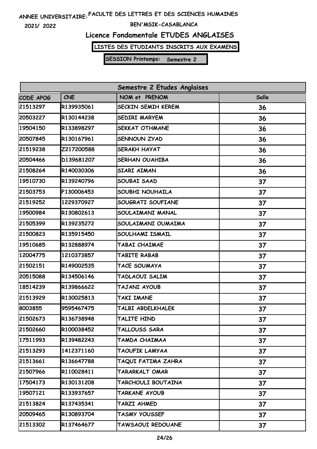**2021/ 2022**

### **BEN'MSIK-CASABLANCA**

# **Licence Fondamentale ETUDES ANGLAISES**

**LISTES DES ETUDIANTS INSCRITS AUX EXAMENS**

| Semestre 2 Etudes Anglaises |            |                           |       |  |
|-----------------------------|------------|---------------------------|-------|--|
| CODE APOG                   | <b>CNE</b> | NOM et PRENOM             | Salle |  |
| 21513297                    | R139935061 | <b>SECKIN SEMIH KEREM</b> | 36    |  |
| 20503227                    | R130144238 | SEDIRI MARYEM             | 36    |  |
| 19504150                    | R133898297 | SEKKAT OTHMANE            | 36    |  |
| 20507845                    | R130167961 | <b>SENNOUN ZYAD</b>       | 36    |  |
| 21519238                    | Z217200588 | <b>SERAKH HAYAT</b>       | 36    |  |
| 20504466                    | D139681207 | <b>SERHAN OUAHIBA</b>     | 36    |  |
| 21508264                    | R140030306 | <b>SIARI AIMAN</b>        | 36    |  |
| 19510730                    | R139240796 | SOUBAI SAAD               | 37    |  |
| 21503753                    | F130006453 | SOUBHI NOUHAILA           | 37    |  |
| 21519252                    | 1229370927 | SOUGRATI SOUFIANE         | 37    |  |
| 19500984                    | R130802613 | SOULAIMANI MANAL          | 37    |  |
| 21505399                    | R139235272 | SOULAIMANI OUMAIMA        | 37    |  |
| 21500823                    | R135915450 | SOULHAMI ISMAIL           | 37    |  |
| 19510685                    | R132888974 | TABAI CHAIMAE             | 37    |  |
| 12004775                    | 1210373857 | TABITE RABAB              | 37    |  |
| 21502151                    | R149002535 | TACE SOUMAYA              | 37    |  |
| 20515088                    | R134506146 | TADLAOUI SALIM            | 37    |  |
| 18514239                    | R139866622 | TAJANI AYOUB              | 37    |  |
| 21513929                    | R130025813 | <b>TAKI IMANE</b>         | 37    |  |
| 8003855                     | 9595467475 | TALBI ABDELKHALEK         | 37    |  |
| 21502673                    | R136738948 | TALITE HIND               | 37    |  |
| 21502660                    | R100038452 | TALLOUSS SARA             | 37    |  |
| 17511993                    | R139482243 | TAMDA CHAIMAA             | 37    |  |
| 21513293                    | 1412371160 | TAOUFIK LAMYAA            | 37    |  |
| 21513661                    | R136647788 | TAQUI FATIMA ZAHRA        | 37    |  |
| 21507966                    | R110028411 | TARARKALT OMAR            | 37    |  |
| 17504173                    | R130131208 | TARCHOULI BOUTAINA        | 37    |  |
| 19507121                    | R133937657 | TARKANE AYOUB             | 37    |  |
| 21513824                    | R137435341 | TARZI AHMED               | 37    |  |
| 20509465                    | R130893704 | TASMY YOUSSEF             | 37    |  |
| 21513302                    | R137464677 | TAWSAOUI REDOUANE         | 37    |  |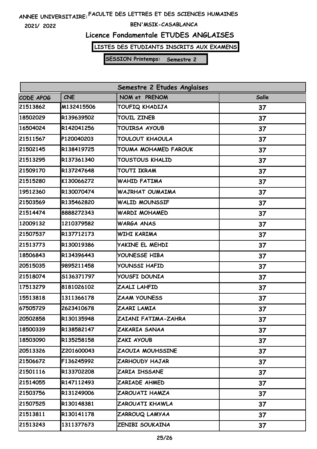**2021/ 2022**

### **BEN'MSIK-CASABLANCA**

# **Licence Fondamentale ETUDES ANGLAISES**

**LISTES DES ETUDIANTS INSCRITS AUX EXAMENS**

| Semestre 2 Etudes Anglaises |            |                      |       |  |
|-----------------------------|------------|----------------------|-------|--|
| CODE APOG                   | <b>CNE</b> | NOM et PRENOM        | Salle |  |
| 21513862                    | M132415506 | TOUFIQ KHADIJA       | 37    |  |
| 18502029                    | R139639502 | <b>TOUIL ZINEB</b>   | 37    |  |
| 16504024                    | R142041256 | TOUIRSA AYOUB        | 37    |  |
| 21511567                    | P120040203 | TOULOUT KHAOULA      | 37    |  |
| 21502145                    | R138419725 | TOUMA MOHAMED FAROUK | 37    |  |
| 21513295                    | R137361340 | TOUSTOUS KHALID      | 37    |  |
| 21509170                    | R137247648 | <b>TOUTI IKRAM</b>   | 37    |  |
| 21515280                    | K130066272 | WAHID FATIMA         | 37    |  |
| 19512360                    | R130070474 | WAJRHAT OUMAIMA      | 37    |  |
| 21503569                    | R135462820 | WALID MOUNSSIF       | 37    |  |
| 21514474                    | 8888272343 | WARDI MOHAMED        | 37    |  |
| 12009132                    | 1210379582 | WARGA ANAS           | 37    |  |
| 21507537                    | R137712173 | WIHI KARIMA          | 37    |  |
| 21513773                    | R130019386 | YAKINE EL MEHDI      | 37    |  |
| 18506843                    | R134396443 | YOUNESSE HIBA        | 37    |  |
| 20515035                    | 9895211458 | YOUNSSI HAFID        | 37    |  |
| 21518074                    | S136371797 | YOUSFI DOUNIA        | 37    |  |
| 17513279                    | 8181026102 | ZAALI LAHFID         | 37    |  |
| 15513818                    | 1311366178 | ZAAM YOUNESS         | 37    |  |
| 67505729                    | 2623410678 | ZAARI LAMIA          | 37    |  |
| 20502858                    | R130135948 | ZAIANI FATIMA-ZAHRA  | 37    |  |
| 18500339                    | R138582147 | ZAKARIA SANAA        | 37    |  |
| 18503090                    | R135258158 | ZAKI AYOUB           | 37    |  |
| 20513326                    | Z201600043 | ZAOUIA MOUHSSINE     | 37    |  |
| 21506672                    | F136245992 | ZARHOUDY HAJAR       | 37    |  |
| 21501116                    | R133702208 | ZARIA IHSSANE        | 37    |  |
| 21514055                    | R147112493 | ZARIADE AHMED        | 37    |  |
| 21503756                    | R131249006 | ZAROUATI HAMZA       | 37    |  |
| 21507525                    | R130148381 | ZAROUATI KHAWLA      | 37    |  |
| 21513811                    | R130141178 | ZARROUQ LAMYAA       | 37    |  |
| 21513243                    | 1311377673 | ZENIBI SOUKAINA      | 37    |  |